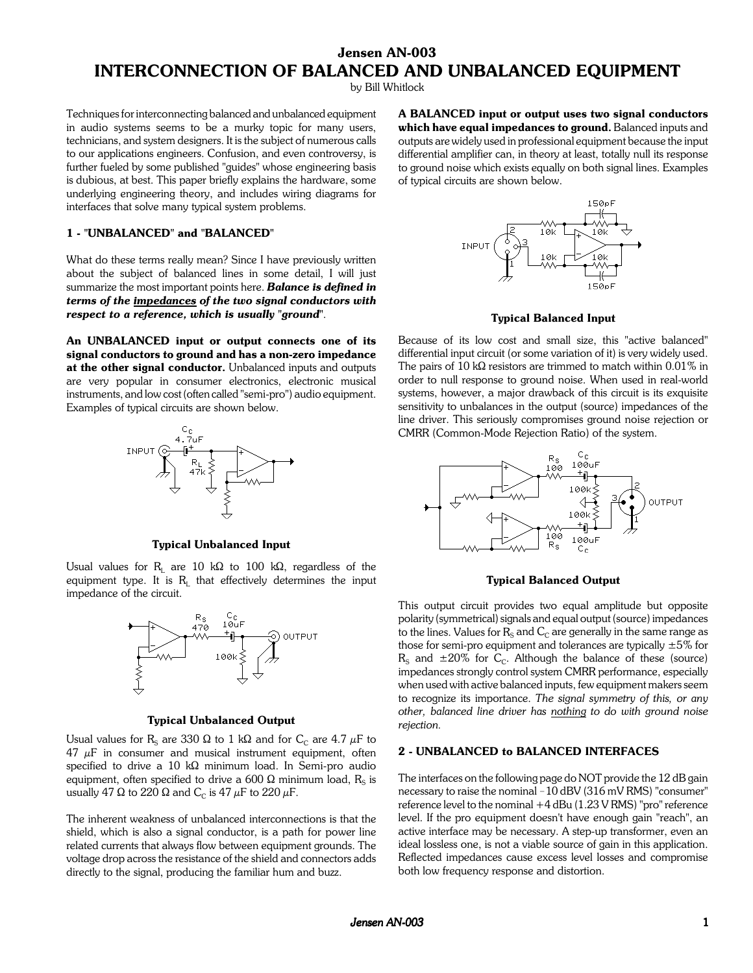# **Jensen AN-003 INTERCONNECTION OF BALANCED AND UNBALANCED EQUIPMENT**

by Bill Whitlock

Techniques for interconnecting balanced and unbalanced equipment in audio systems seems to be a murky topic for many users, technicians, and system designers. It is the subject of numerous calls to our applications engineers. Confusion, and even controversy, is further fueled by some published "guides" whose engineering basis is dubious, at best. This paper briefly explains the hardware, some underlying engineering theory, and includes wiring diagrams for interfaces that solve many typical system problems.

## **1 - "UNBALANCED" and "BALANCED"**

What do these terms really mean? Since I have previously written about the subject of balanced lines in some detail, I will just summarize the most important points here. *Balance is defined in terms of the impedances of the two signal conductors with respect to a reference, which is usually "ground"*.

**An UNBALANCED input or output connects one of its signal conductors to ground and has a non-zero impedance at the other signal conductor.** Unbalanced inputs and outputs are very popular in consumer electronics, electronic musical instruments, and low cost (often called "semi-pro") audio equipment. Examples of typical circuits are shown below.



**Typical Unbalanced Input**

Usual values for R<sub>L</sub> are 10 k $\Omega$  to 100 k $\Omega$ , regardless of the equipment type. It is  $R<sub>L</sub>$  that effectively determines the input impedance of the circuit.



#### **Typical Unbalanced Output**

Usual values for R<sub>S</sub> are 330  $\Omega$  to 1 k $\Omega$  and for C<sub>C</sub> are 4.7  $\mu$ F to  $47 \mu$ F in consumer and musical instrument equipment, often specified to drive a 10 k $\Omega$  minimum load. In Semi-pro audio equipment, often specified to drive a 600  $\Omega$  minimum load, R<sub>s</sub> is usually 47  $\Omega$  to 220  $\Omega$  and C<sub>c</sub> is 47  $\mu$ F to 220  $\mu$ F.

The inherent weakness of unbalanced interconnections is that the shield, which is also a signal conductor, is a path for power line related currents that always flow between equipment grounds. The voltage drop across the resistance of the shield and connectors adds directly to the signal, producing the familiar hum and buzz.

**A BALANCED input or output uses two signal conductors which have equal impedances to ground.** Balanced inputs and outputs are widely used in professional equipment because the input differential amplifier can, in theory at least, totally null its response to ground noise which exists equally on both signal lines. Examples of typical circuits are shown below.



## **Typical Balanced Input**

Because of its low cost and small size, this "active balanced" differential input circuit (or some variation of it) is very widely used. The pairs of 10 k $\Omega$  resistors are trimmed to match within 0.01% in order to null response to ground noise. When used in real-world systems, however, a major drawback of this circuit is its exquisite sensitivity to unbalances in the output (source) impedances of the line driver. This seriously compromises ground noise rejection or CMRR (Common-Mode Rejection Ratio) of the system.



#### **Typical Balanced Output**

This output circuit provides two equal amplitude but opposite polarity (symmetrical) signals and equal output (source) impedances to the lines. Values for  $R_s$  and  $C_c$  are generally in the same range as those for semi-pro equipment and tolerances are typically  $\pm 5\%$  for  $R<sub>S</sub>$  and  $\pm 20\%$  for C<sub>C</sub>. Although the balance of these (source) impedances strongly control system CMRR performance, especially when used with active balanced inputs, few equipment makers seem to recognize its importance. *The signal symmetry of this, or any other, balanced line driver has nothing to do with ground noise rejection.*

## **2 - UNBALANCED to BALANCED INTERFACES**

The interfaces on the following page do NOT provide the 12 dB gain necessary to raise the nominal - 10 dBV (316 mV RMS) "consumer" reference level to the nominal +4 dBu (1.23 V RMS) "pro" reference level. If the pro equipment doesn't have enough gain "reach", an active interface may be necessary. A step-up transformer, even an ideal lossless one, is not a viable source of gain in this application. Reflected impedances cause excess level losses and compromise both low frequency response and distortion.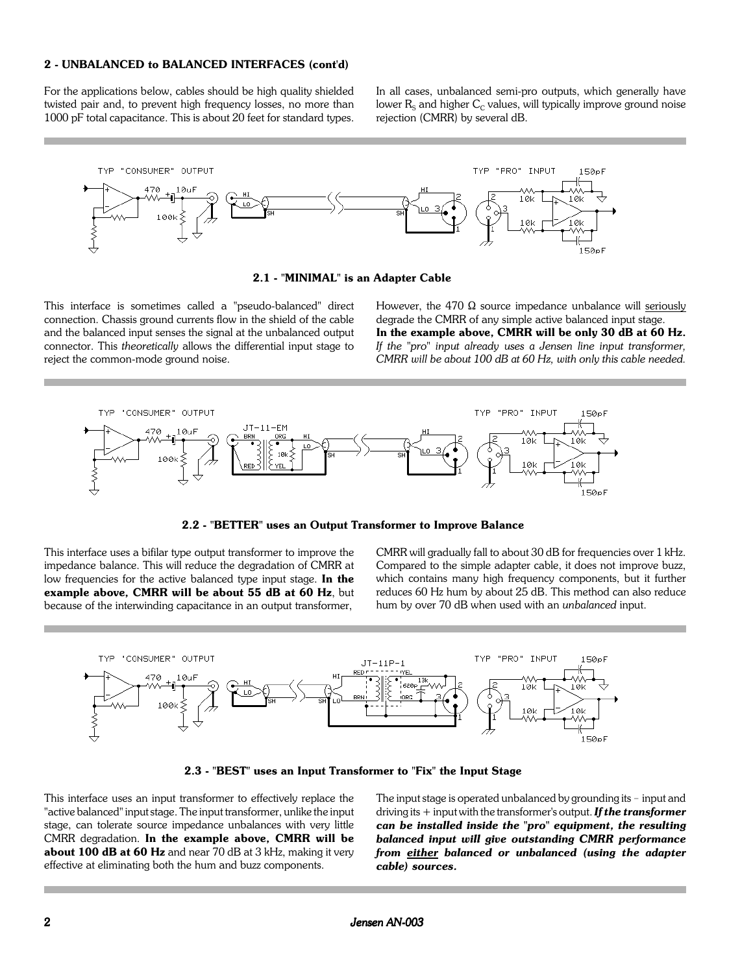## **2 - UNBALANCED to BALANCED INTERFACES (cont'd)**

For the applications below, cables should be high quality shielded twisted pair and, to prevent high frequency losses, no more than 1000 pF total capacitance. This is about 20 feet for standard types. In all cases, unbalanced semi-pro outputs, which generally have lower  $R<sub>s</sub>$  and higher  $C<sub>C</sub>$  values, will typically improve ground noise rejection (CMRR) by several dB.



**2.1 - "MINIMAL" is an Adapter Cable**

This interface is sometimes called a "pseudo-balanced" direct connection. Chassis ground currents flow in the shield of the cable and the balanced input senses the signal at the unbalanced output connector. This *theoretically* allows the differential input stage to reject the common-mode ground noise.

However, the 470  $\Omega$  source impedance unbalance will seriously degrade the CMRR of any simple active balanced input stage. **In the example above, CMRR will be only 30 dB at 60 Hz.** *If the "pro" input already uses a Jensen line input transformer, CMRR will be about 100 dB at 60 Hz, with only this cable needed.*



**2.2 - "BETTER" uses an Output Transformer to Improve Balance**

This interface uses a bifilar type output transformer to improve the impedance balance. This will reduce the degradation of CMRR at low frequencies for the active balanced type input stage. **In the example above, CMRR will be about 55 dB at 60 Hz**, but because of the interwinding capacitance in an output transformer,

CMRR will gradually fall to about 30 dB for frequencies over 1 kHz. Compared to the simple adapter cable, it does not improve buzz, which contains many high frequency components, but it further reduces 60 Hz hum by about 25 dB. This method can also reduce hum by over 70 dB when used with an *unbalanced* input.



**2.3 - "BEST" uses an Input Transformer to "Fix" the Input Stage**

This interface uses an input transformer to effectively replace the "active balanced" input stage. The input transformer, unlike the input stage, can tolerate source impedance unbalances with very little CMRR degradation. **In the example above, CMRR will be about 100 dB at 60 Hz** and near 70 dB at 3 kHz, making it very effective at eliminating both the hum and buzz components.

The input stage is operated unbalanced by grounding its  $-$  input and driving its + input with the transformer's output. *If the transformer can be installed inside the "pro" equipment, the resulting balanced input will give outstanding CMRR performance from either balanced or unbalanced (using the adapter cable) sources.*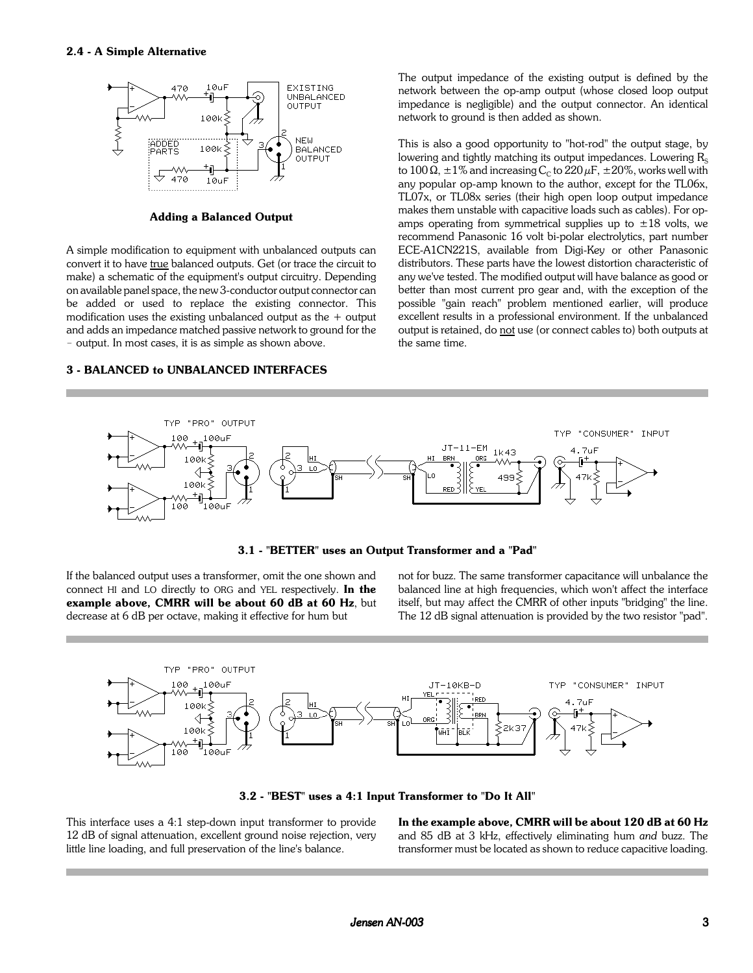

**Adding a Balanced Output**

A simple modification to equipment with unbalanced outputs can convert it to have true balanced outputs. Get (or trace the circuit to make) a schematic of the equipment's output circuitry. Depending on available panel space, the new 3-conductor output connector can be added or used to replace the existing connector. This modification uses the existing unbalanced output as the  $+$  output and adds an impedance matched passive network to ground for the - output. In most cases, it is as simple as shown above.

#### **3 - BALANCED to UNBALANCED INTERFACES**

The output impedance of the existing output is defined by the network between the op-amp output (whose closed loop output impedance is negligible) and the output connector. An identical network to ground is then added as shown.

This is also a good opportunity to "hot-rod" the output stage, by lowering and tightly matching its output impedances. Lowering  $R_s$ to 100  $\Omega$ ,  $\pm$  1% and increasing C<sub>c</sub> to 220  $\mu$ F,  $\pm$  20%, works well with any popular op-amp known to the author, except for the TL06x, TL07x, or TL08x series (their high open loop output impedance makes them unstable with capacitive loads such as cables). For opamps operating from symmetrical supplies up to  $\pm 18$  volts, we recommend Panasonic 16 volt bi-polar electrolytics, part number ECE-A1CN221S, available from Digi-Key or other Panasonic distributors. These parts have the lowest distortion characteristic of any we've tested. The modified output will have balance as good or better than most current pro gear and, with the exception of the possible "gain reach" problem mentioned earlier, will produce excellent results in a professional environment. If the unbalanced output is retained, do not use (or connect cables to) both outputs at the same time.



**3.1 - "BETTER" uses an Output Transformer and a "Pad"**

If the balanced output uses a transformer, omit the one shown and connect HI and LO directly to ORG and YEL respectively. **In the example above, CMRR will be about 60 dB at 60 Hz**, but decrease at 6 dB per octave, making it effective for hum but

not for buzz. The same transformer capacitance will unbalance the balanced line at high frequencies, which won't affect the interface itself, but may affect the CMRR of other inputs "bridging" the line. The 12 dB signal attenuation is provided by the two resistor "pad".



**3.2 - "BEST" uses a 4:1 Input Transformer to "Do It All"**

This interface uses a 4:1 step-down input transformer to provide 12 dB of signal attenuation, excellent ground noise rejection, very little line loading, and full preservation of the line's balance.

**In the example above, CMRR will be about 120 dB at 60 Hz** and 85 dB at 3 kHz, effectively eliminating hum *and* buzz. The transformer must be located as shown to reduce capacitive loading.